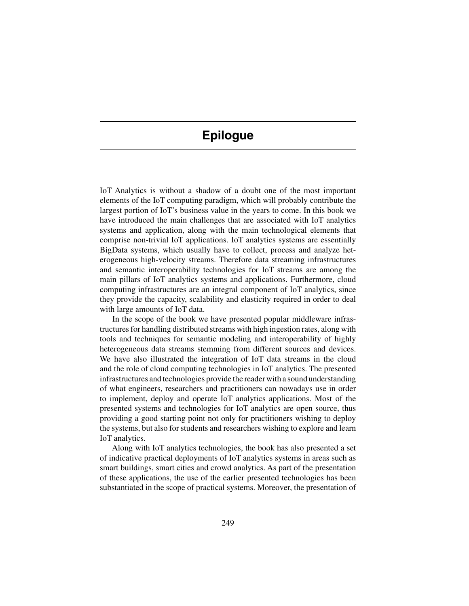## **Epilogue**

IoT Analytics is without a shadow of a doubt one of the most important elements of the IoT computing paradigm, which will probably contribute the largest portion of IoT's business value in the years to come. In this book we have introduced the main challenges that are associated with IoT analytics systems and application, along with the main technological elements that comprise non-trivial IoT applications. IoT analytics systems are essentially BigData systems, which usually have to collect, process and analyze heterogeneous high-velocity streams. Therefore data streaming infrastructures and semantic interoperability technologies for IoT streams are among the main pillars of IoT analytics systems and applications. Furthermore, cloud computing infrastructures are an integral component of IoT analytics, since they provide the capacity, scalability and elasticity required in order to deal with large amounts of IoT data.

In the scope of the book we have presented popular middleware infrastructures for handling distributed streams with high ingestion rates, along with tools and techniques for semantic modeling and interoperability of highly heterogeneous data streams stemming from different sources and devices. We have also illustrated the integration of IoT data streams in the cloud and the role of cloud computing technologies in IoT analytics. The presented infrastructures and technologies provide the reader with a sound understanding of what engineers, researchers and practitioners can nowadays use in order to implement, deploy and operate IoT analytics applications. Most of the presented systems and technologies for IoT analytics are open source, thus providing a good starting point not only for practitioners wishing to deploy the systems, but also for students and researchers wishing to explore and learn IoT analytics.

Along with IoT analytics technologies, the book has also presented a set of indicative practical deployments of IoT analytics systems in areas such as smart buildings, smart cities and crowd analytics. As part of the presentation of these applications, the use of the earlier presented technologies has been substantiated in the scope of practical systems. Moreover, the presentation of